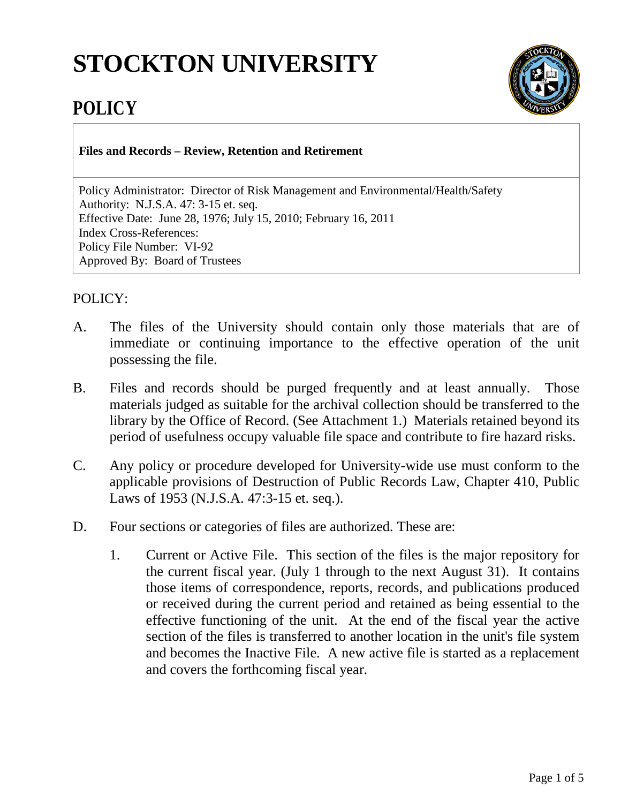# **STOCKTON UNIVERSITY**



# **POLICY**

**Files and Records – Review, Retention and Retirement**

Policy Administrator: Director of Risk Management and Environmental/Health/Safety Authority: N.J.S.A. 47: 3-15 et. seq. Effective Date: June 28, 1976; July 15, 2010; February 16, 2011 Index Cross-References: Policy File Number: VI-92 Approved By: Board of Trustees

## POLICY:

- A. The files of the University should contain only those materials that are of immediate or continuing importance to the effective operation of the unit possessing the file.
- B. Files and records should be purged frequently and at least annually. Those materials judged as suitable for the archival collection should be transferred to the library by the Office of Record. (See Attachment 1.) Materials retained beyond its period of usefulness occupy valuable file space and contribute to fire hazard risks.
- C. Any policy or procedure developed for University-wide use must conform to the applicable provisions of Destruction of Public Records Law, Chapter 410, Public Laws of 1953 (N.J.S.A. 47:3-15 et. seq.).
- D. Four sections or categories of files are authorized. These are:
	- 1. Current or Active File. This section of the files is the major repository for the current fiscal year. (July 1 through to the next August 31). It contains those items of correspondence, reports, records, and publications produced or received during the current period and retained as being essential to the effective functioning of the unit. At the end of the fiscal year the active section of the files is transferred to another location in the unit's file system and becomes the Inactive File. A new active file is started as a replacement and covers the forthcoming fiscal year.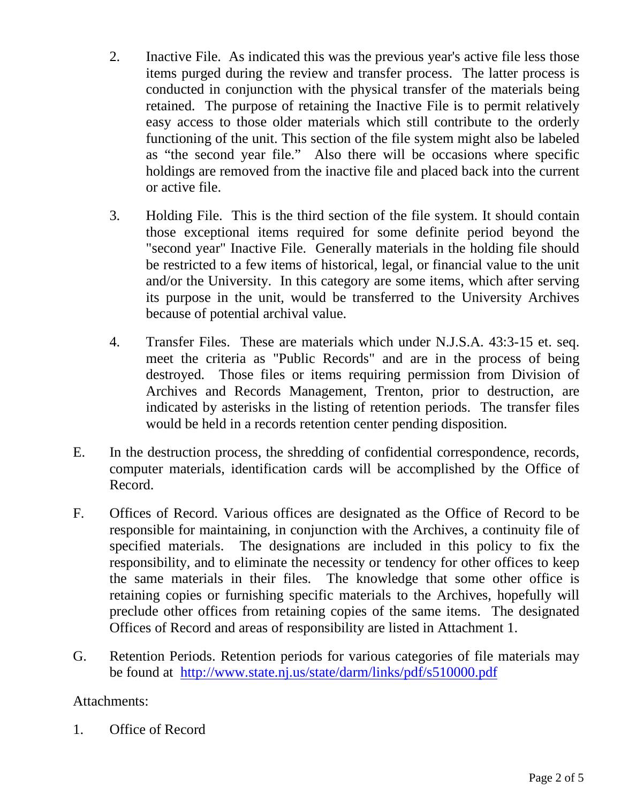- 2. Inactive File. As indicated this was the previous year's active file less those items purged during the review and transfer process. The latter process is conducted in conjunction with the physical transfer of the materials being retained. The purpose of retaining the Inactive File is to permit relatively easy access to those older materials which still contribute to the orderly functioning of the unit. This section of the file system might also be labeled as "the second year file." Also there will be occasions where specific holdings are removed from the inactive file and placed back into the current or active file.
- 3. Holding File. This is the third section of the file system. It should contain those exceptional items required for some definite period beyond the "second year" Inactive File. Generally materials in the holding file should be restricted to a few items of historical, legal, or financial value to the unit and/or the University. In this category are some items, which after serving its purpose in the unit, would be transferred to the University Archives because of potential archival value.
- 4. Transfer Files. These are materials which under N.J.S.A. 43:3-15 et. seq. meet the criteria as "Public Records" and are in the process of being destroyed. Those files or items requiring permission from Division of Archives and Records Management, Trenton, prior to destruction, are indicated by asterisks in the listing of retention periods. The transfer files would be held in a records retention center pending disposition.
- E. In the destruction process, the shredding of confidential correspondence, records, computer materials, identification cards will be accomplished by the Office of Record.
- F. Offices of Record. Various offices are designated as the Office of Record to be responsible for maintaining, in conjunction with the Archives, a continuity file of specified materials. The designations are included in this policy to fix the responsibility, and to eliminate the necessity or tendency for other offices to keep the same materials in their files. The knowledge that some other office is retaining copies or furnishing specific materials to the Archives, hopefully will preclude other offices from retaining copies of the same items. The designated Offices of Record and areas of responsibility are listed in Attachment 1.
- G. Retention Periods. Retention periods for various categories of file materials may be found at http://www.state.nj.us/state/darm/links/pdf/s510000.pdf

### Attachments:

1. Office of Record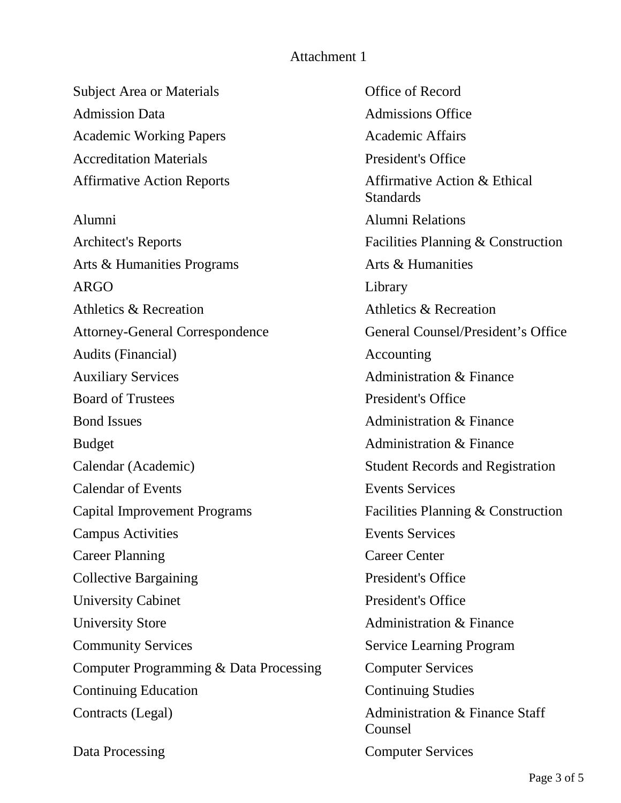#### Attachment 1

Subject Area or Materials **Office of Record** Admission Data **Admission** Data **Admissions** Office Academic Working Papers Academic Affairs Accreditation Materials **President's Office** Affirmative Action Reports Affirmative Action & Ethical Alumni Alumni Relations Architect's Reports Facilities Planning & Construction Arts & Humanities Programs **Arts & Humanities** ARGO Library Athletics & Recreation Athletics & Recreation Attorney-General Correspondence General Counsel/President's Office Audits (Financial) Accounting Auxiliary Services Administration & Finance Board of Trustees President's Office Bond Issues **Administration & Finance** Budget **Administration & Finance** Calendar (Academic) Student Records and Registration Calendar of Events Events Services Capital Improvement Programs Facilities Planning & Construction Campus Activities Events Services Career Planning Career Center Collective Bargaining President's Office University Cabinet President's Office University Store Administration & Finance Community Services Service Learning Program Computer Programming & Data Processing Computer Services Continuing Education Continuing Studies Contracts (Legal) **Administration & Finance Staff** 

**Standards** Counsel Data Processing Computer Services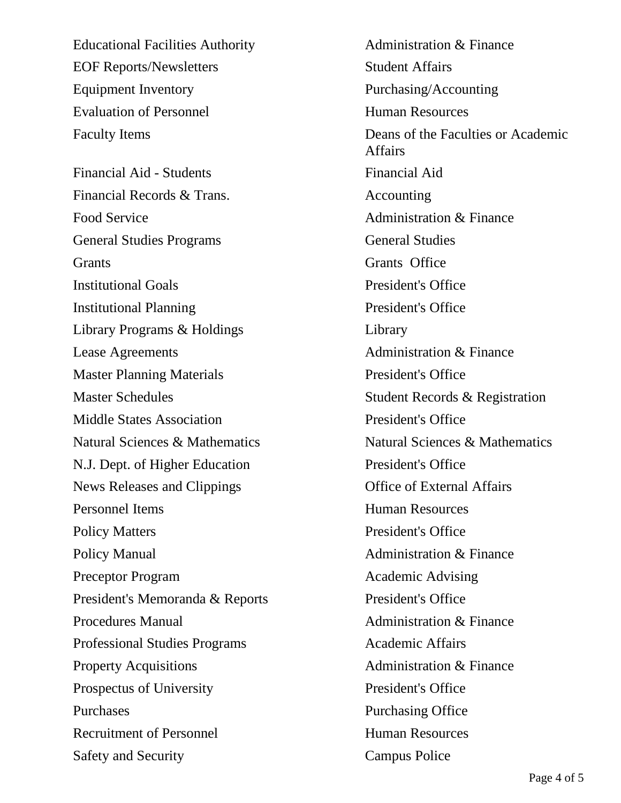Educational Facilities Authority **Administration & Finance** EOF Reports/Newsletters Student Affairs Equipment Inventory Purchasing/Accounting Evaluation of Personnel Human Resources

Financial Aid - Students Financial Aid Financial Records & Trans. Accounting Food Service Administration & Finance General Studies Programs General Studies Grants Grants Office Institutional Goals President's Office Institutional Planning President's Office Library Programs & Holdings Library Lease Agreements **Administration & Finance** Master Planning Materials President's Office Master Schedules Student Records & Registration Middle States Association **President's Office** N.J. Dept. of Higher Education President's Office News Releases and Clippings **Office of External Affairs** Personnel Items **Human Resources** Policy Matters President's Office Policy Manual **Administration & Finance** Preceptor Program Academic Advising President's Memoranda & Reports President's Office Procedures Manual Administration & Finance Professional Studies Programs Academic Affairs Property Acquisitions Administration & Finance Prospectus of University President's Office Purchases Purchasing Office Recruitment of Personnel Human Resources Safety and Security Campus Police

Faculty Items Deans of the Faculties or Academic Affairs Natural Sciences & Mathematics Natural Sciences & Mathematics